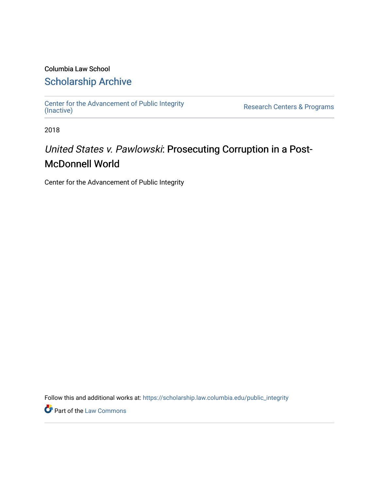### Columbia Law School [Scholarship Archive](https://scholarship.law.columbia.edu/)

[Center for the Advancement of Public Integrity](https://scholarship.law.columbia.edu/public_integrity)<br>(Inactive)

Research Centers & Programs

2018

## United States v. Pawlowski: Prosecuting Corruption in a Post-McDonnell World

Center for the Advancement of Public Integrity

Follow this and additional works at: [https://scholarship.law.columbia.edu/public\\_integrity](https://scholarship.law.columbia.edu/public_integrity?utm_source=scholarship.law.columbia.edu%2Fpublic_integrity%2F29&utm_medium=PDF&utm_campaign=PDFCoverPages)

**Part of the [Law Commons](http://network.bepress.com/hgg/discipline/578?utm_source=scholarship.law.columbia.edu%2Fpublic_integrity%2F29&utm_medium=PDF&utm_campaign=PDFCoverPages)**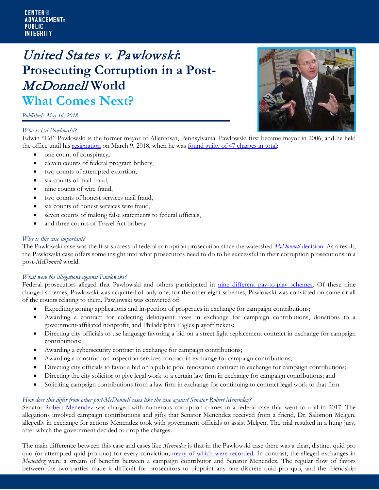#### **CENTER ::: ADVANCEMENT**T PUBLIC **INTEGRITY**

# United States v. Pawlowski**: Prosecuting Corruption in a Post-**McDonnell **World What Comes Next?**

*Published: May 16, 2018*

#### *Who is Ed Pawlowski?*



Edwin "Ed" Pawlowski is the former mayor of Allentown, Pennsylvania. Pawlowski first became mayor in 2006, and he held the office until his [resignation](http://www.mcall.com/news/local/allentown/mc-nws-allentown-mayor-ed-pawlowski-resign-20180305-story.html#nt=oft01a-1li2) on March 9, 2018, when he was [found guilty of 47 charges in total:](http://www.mcall.com/news/local/allentown/fbi/mc-nws-allentown-mayor-ed-pawlowski-verdict-20180223-story.html#nt=oft13a-7gp1)

- one count of conspiracy,
- eleven counts of federal program bribery,
- two counts of attempted extortion,
- six counts of mail fraud,
- nine counts of wire fraud,
- two counts of honest services mail fraud,
- six counts of honest services wire fraud,
- seven counts of making false statements to federal officials,
- and three counts of Travel Act bribery.

#### *Why is this case important?*

The Pawlowski case was the first successful federal corruption prosecution since the watershed *[McDonnell](https://web.law.columbia.edu/public-integrity/our-work/what-comes-next/what-comes-next-mcdonnell-supreme-court-case)* decision. As a result, the Pawlowski case offers some insight into what prosecutors need to do to be successful in their corruption prosecutions in a post-*McDonnell* world.

#### *What were the allegations against Pawlowski?*

Federal prosecutors alleged that Pawlowski and others participated in [nine different pay-to-play schemes.](http://www.mcall.com/news/local/allentown/fbi/mc-nws-allentown-city-hall-fbi-pawlowski-alleged-schemes-20180112-story.html) Of these nine charged schemes, Pawlowski was acquitted of only one; for the other eight schemes, Pawlowski was convicted on some or all of the counts relating to them. Pawlowski was convicted of:

- Expediting zoning applications and inspection of properties in exchange for campaign contributions;
- Awarding a contract for collecting delinquent taxes in exchange for campaign contributions, donations to a government-affiliated nonprofit, and Philadelphia Eagles playoff tickets;
- Directing city officials to use language favoring a bid on a street light replacement contract in exchange for campaign contributions;
- Awarding a cybersecurity contract in exchange for campaign contributions;
- Awarding a construction inspection services contract in exchange for campaign contributions;
- Directing city officials to favor a bid on a public pool renovation contract in exchange for campaign contributions;
- Directing the city solicitor to give legal work to a certain law firm in exchange for campaign contributions; and
- Soliciting campaign contributions from a law firm in exchange for continuing to contract legal work to that firm.

#### *How does this differ from other post-McDonnell cases like the case against Senator Robert Menendez?*

Senator [Robert Menendez](https://www.law.columbia.edu/public-integrity/our-work/what-comes-next/Aftermath-of-the-Senator-Menendez-Trial) was charged with numerous corruption crimes in a federal case that went to trial in 2017. The allegations involved campaign contributions and gifts that Senator Menendez received from a friend, Dr. Salomon Melgen, allegedly in exchange for actions Menendez took with government officials to assist Melgen. The trial resulted in a hung jury, after which the government decided to drop the charges.

The main difference between this case and cases like *Menendez* is that in the Pawlowski case there was a clear, distinct quid pro quo (or attempted quid pro quo) for every conviction, [many of which were recorded.](http://www.wfmz.com/news/fbi-probe/fbi-probe-secret-audio-recordings/695670031) In contrast, the alleged exchanges in *Menendez* were a stream of benefits between a campaign contributor and Senator Menendez. The regular flow of favors between the two parties made it difficult for prosecutors to pinpoint any one discrete quid pro quo, and the friendship